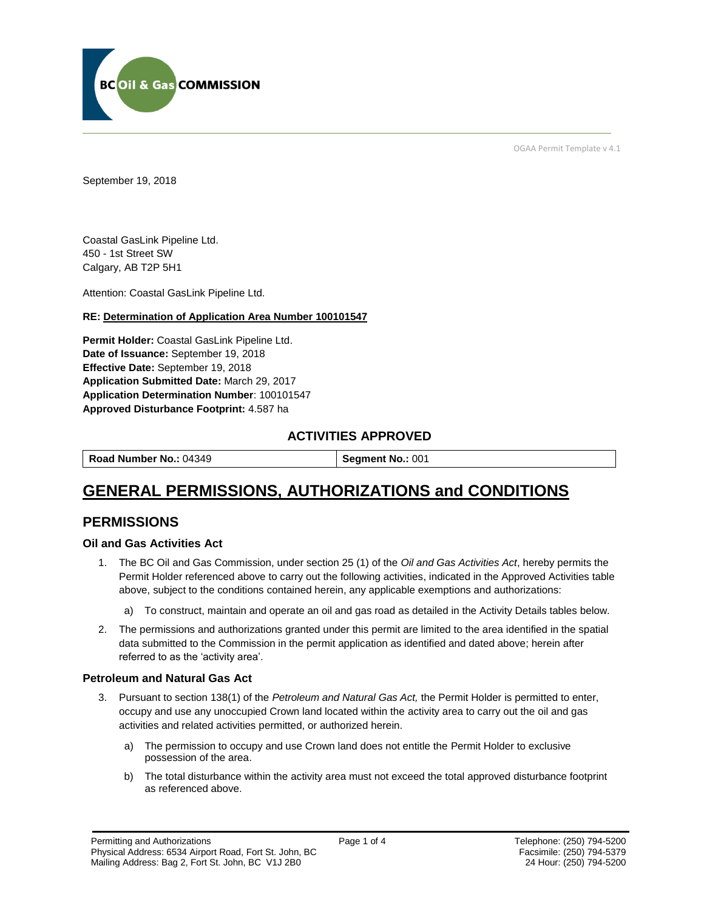

OGAA Permit Template v 4.1

September 19, 2018

Coastal GasLink Pipeline Ltd. 450 - 1st Street SW Calgary, AB T2P 5H1

Attention: Coastal GasLink Pipeline Ltd.

#### **RE: Determination of Application Area Number 100101547**

**Permit Holder:** Coastal GasLink Pipeline Ltd. **Date of Issuance:** September 19, 2018 **Effective Date:** September 19, 2018 **Application Submitted Date:** March 29, 2017 **Application Determination Number**: 100101547 **Approved Disturbance Footprint:** 4.587 ha

## **ACTIVITIES APPROVED**

| Road Number No.: 04349 N<br><b>Segment No.: 001</b> |
|-----------------------------------------------------|
|-----------------------------------------------------|

# **GENERAL PERMISSIONS, AUTHORIZATIONS and CONDITIONS**

## **PERMISSIONS**

#### **Oil and Gas Activities Act**

- 1. The BC Oil and Gas Commission, under section 25 (1) of the *Oil and Gas Activities Act*, hereby permits the Permit Holder referenced above to carry out the following activities, indicated in the Approved Activities table above, subject to the conditions contained herein, any applicable exemptions and authorizations:
	- a) To construct, maintain and operate an oil and gas road as detailed in the Activity Details tables below.
- 2. The permissions and authorizations granted under this permit are limited to the area identified in the spatial data submitted to the Commission in the permit application as identified and dated above; herein after referred to as the 'activity area'.

#### **Petroleum and Natural Gas Act**

- 3. Pursuant to section 138(1) of the *Petroleum and Natural Gas Act,* the Permit Holder is permitted to enter, occupy and use any unoccupied Crown land located within the activity area to carry out the oil and gas activities and related activities permitted, or authorized herein.
	- a) The permission to occupy and use Crown land does not entitle the Permit Holder to exclusive possession of the area.
	- b) The total disturbance within the activity area must not exceed the total approved disturbance footprint as referenced above.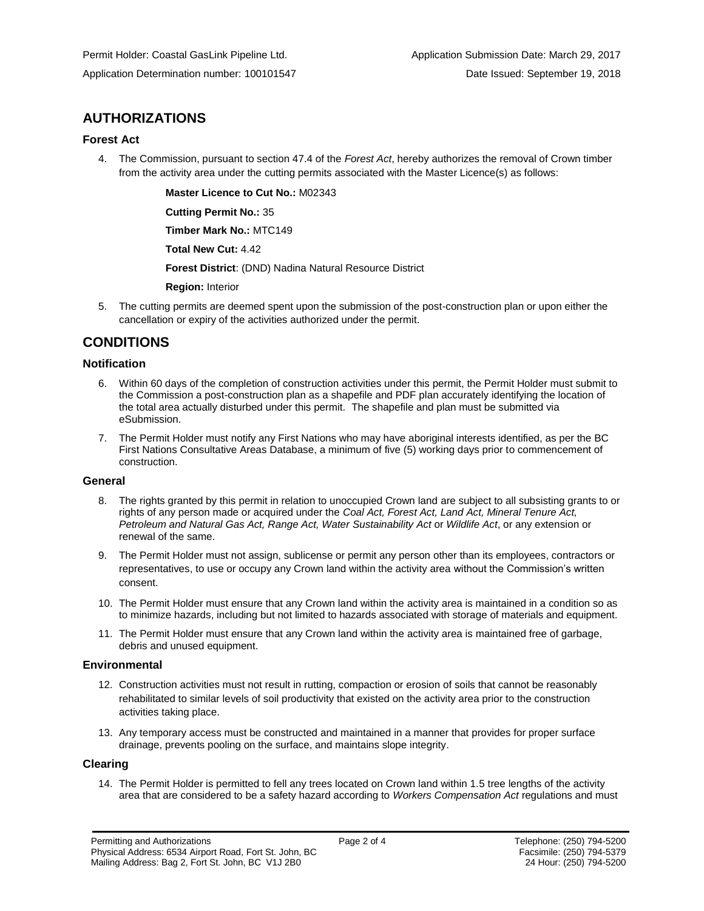## **AUTHORIZATIONS**

#### **Forest Act**

4. The Commission, pursuant to section 47.4 of the *Forest Act*, hereby authorizes the removal of Crown timber from the activity area under the cutting permits associated with the Master Licence(s) as follows:

**Master Licence to Cut No.:** M02343

**Cutting Permit No.:** 35

**Timber Mark No.:** MTC149

**Total New Cut:** 4.42

**Forest District**: (DND) Nadina Natural Resource District

**Region:** Interior

5. The cutting permits are deemed spent upon the submission of the post-construction plan or upon either the cancellation or expiry of the activities authorized under the permit.

## **CONDITIONS**

#### **Notification**

- 6. Within 60 days of the completion of construction activities under this permit, the Permit Holder must submit to the Commission a post-construction plan as a shapefile and PDF plan accurately identifying the location of the total area actually disturbed under this permit. The shapefile and plan must be submitted via eSubmission.
- 7. The Permit Holder must notify any First Nations who may have aboriginal interests identified, as per the BC First Nations Consultative Areas Database, a minimum of five (5) working days prior to commencement of construction.

#### **General**

- 8. The rights granted by this permit in relation to unoccupied Crown land are subject to all subsisting grants to or rights of any person made or acquired under the *Coal Act, Forest Act, Land Act, Mineral Tenure Act, Petroleum and Natural Gas Act, Range Act, Water Sustainability Act* or *Wildlife Act*, or any extension or renewal of the same.
- 9. The Permit Holder must not assign, sublicense or permit any person other than its employees, contractors or representatives, to use or occupy any Crown land within the activity area without the Commission's written consent.
- 10. The Permit Holder must ensure that any Crown land within the activity area is maintained in a condition so as to minimize hazards, including but not limited to hazards associated with storage of materials and equipment.
- 11. The Permit Holder must ensure that any Crown land within the activity area is maintained free of garbage, debris and unused equipment.

#### **Environmental**

- 12. Construction activities must not result in rutting, compaction or erosion of soils that cannot be reasonably rehabilitated to similar levels of soil productivity that existed on the activity area prior to the construction activities taking place.
- 13. Any temporary access must be constructed and maintained in a manner that provides for proper surface drainage, prevents pooling on the surface, and maintains slope integrity.

#### **Clearing**

14. The Permit Holder is permitted to fell any trees located on Crown land within 1.5 tree lengths of the activity area that are considered to be a safety hazard according to *Workers Compensation Act* regulations and must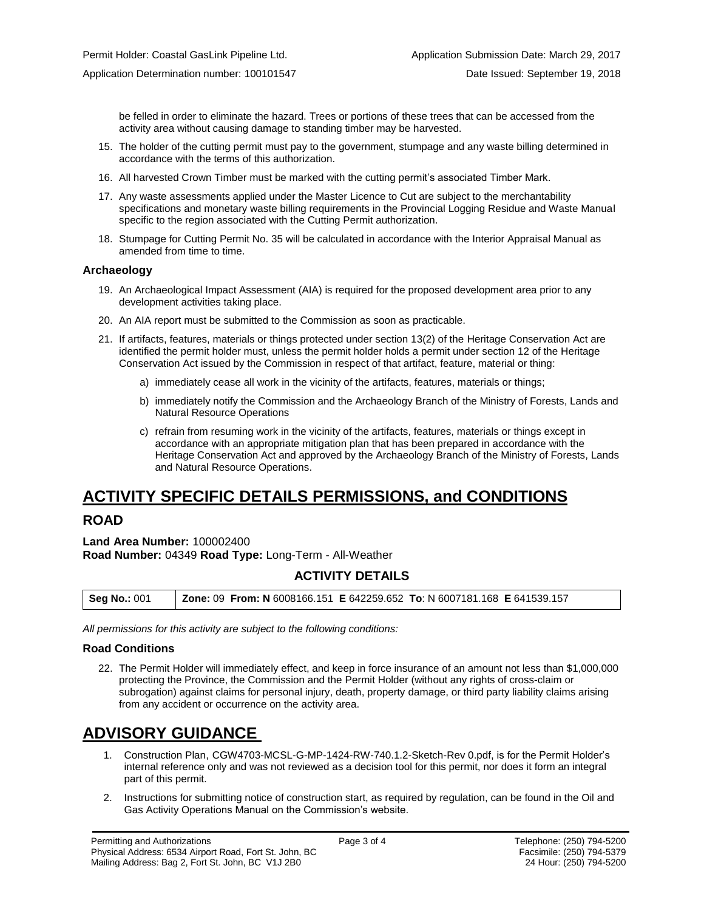be felled in order to eliminate the hazard. Trees or portions of these trees that can be accessed from the activity area without causing damage to standing timber may be harvested.

- 15. The holder of the cutting permit must pay to the government, stumpage and any waste billing determined in accordance with the terms of this authorization.
- 16. All harvested Crown Timber must be marked with the cutting permit's associated Timber Mark.
- 17. Any waste assessments applied under the Master Licence to Cut are subject to the merchantability specifications and monetary waste billing requirements in the Provincial Logging Residue and Waste Manual specific to the region associated with the Cutting Permit authorization.
- 18. Stumpage for Cutting Permit No. 35 will be calculated in accordance with the Interior Appraisal Manual as amended from time to time.

#### **Archaeology**

- 19. An Archaeological Impact Assessment (AIA) is required for the proposed development area prior to any development activities taking place.
- 20. An AIA report must be submitted to the Commission as soon as practicable.
- 21. If artifacts, features, materials or things protected under section 13(2) of the Heritage Conservation Act are identified the permit holder must, unless the permit holder holds a permit under section 12 of the Heritage Conservation Act issued by the Commission in respect of that artifact, feature, material or thing:
	- a) immediately cease all work in the vicinity of the artifacts, features, materials or things;
	- b) immediately notify the Commission and the Archaeology Branch of the Ministry of Forests, Lands and Natural Resource Operations
	- c) refrain from resuming work in the vicinity of the artifacts, features, materials or things except in accordance with an appropriate mitigation plan that has been prepared in accordance with the Heritage Conservation Act and approved by the Archaeology Branch of the Ministry of Forests, Lands and Natural Resource Operations.

# **ACTIVITY SPECIFIC DETAILS PERMISSIONS, and CONDITIONS**

## **ROAD**

**Land Area Number:** 100002400 **Road Number:** 04349 **Road Type:** Long-Term - All-Weather

## **ACTIVITY DETAILS**

| <b>Zone: 09 From: N 6008166.151 E 642259.652 To: N 6007181.168 E 641539.157</b><br><b>Seg No.: 001</b> |  |
|--------------------------------------------------------------------------------------------------------|--|
|--------------------------------------------------------------------------------------------------------|--|

*All permissions for this activity are subject to the following conditions:*

#### **Road Conditions**

22. The Permit Holder will immediately effect, and keep in force insurance of an amount not less than \$1,000,000 protecting the Province, the Commission and the Permit Holder (without any rights of cross-claim or subrogation) against claims for personal injury, death, property damage, or third party liability claims arising from any accident or occurrence on the activity area.

# **ADVISORY GUIDANCE**

- 1. Construction Plan, CGW4703-MCSL-G-MP-1424-RW-740.1.2-Sketch-Rev 0.pdf, is for the Permit Holder's internal reference only and was not reviewed as a decision tool for this permit, nor does it form an integral part of this permit.
- 2. Instructions for submitting notice of construction start, as required by regulation, can be found in the Oil and Gas Activity Operations Manual on the Commission's website.